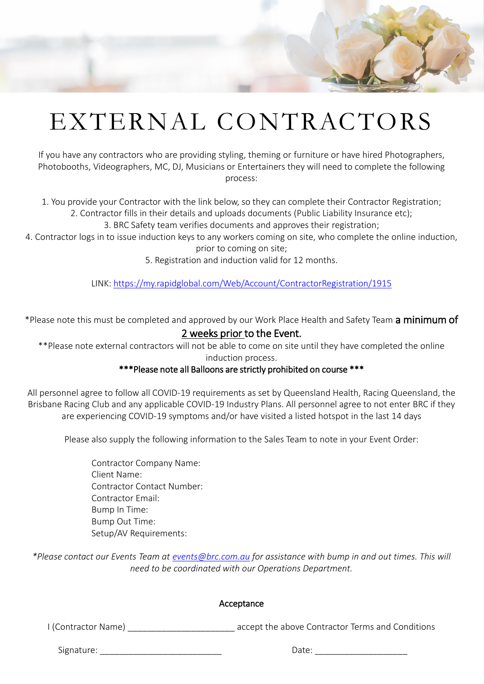# EXTERNAL CONTRACTORS

If you have any contractors who are providing styling, theming or furniture or have hired Photographers, Photobooths, Videographers, MC, DJ, Musicians or Entertainers they will need to complete the following process:

1. You provide your Contractor with the link below, so they can complete their Contractor Registration;

2. Contractor fills in their details and uploads documents (Public Liability Insurance etc);

3. BRC Safety team verifies documents and approves their registration;

4. Contractor logs in to issue induction keys to any workers coming on site, who complete the online induction, prior to coming on site;

5. Registration and induction valid for 12 months.

LINK: <https://my.rapidglobal.com/Web/Account/ContractorRegistration/1915>

\*Please note this must be completed and approved by our Work Place Health and Safety Team a minimum of 2 weeks prior to the Event.

\*\*Please note external contractors will not be able to come on site until they have completed the online induction process.

#### \*\*\*Please note all Balloons are strictly prohibited on course \*\*\*

All personnel agree to follow all COVID-19 requirements as set by Queensland Health, Racing Queensland, the Brisbane Racing Club and any applicable COVID-19 Industry Plans. All personnel agree to not enter BRC if they are experiencing COVID-19 symptoms and/or have visited a listed hotspot in the last 14 days

Please also supply the following information to the Sales Team to note in your Event Order:

Contractor Company Name: Client Name: Contractor Contact Number: Contractor Email: Bump In Time: Bump Out Time: Setup/AV Requirements:

*\*Please contact our Events Team at [events@brc.com.au](mailto:events@brc.com.au) for assistance with bump in and out times. This will need to be coordinated with our Operations Department.* 

#### Acceptance

I (Contractor Name) accept the above Contractor Terms and Conditions

Signature: \_\_\_\_\_\_\_\_\_\_\_\_\_\_\_\_\_\_\_\_\_\_\_\_\_ Date: \_\_\_\_\_\_\_\_\_\_\_\_\_\_\_\_\_\_\_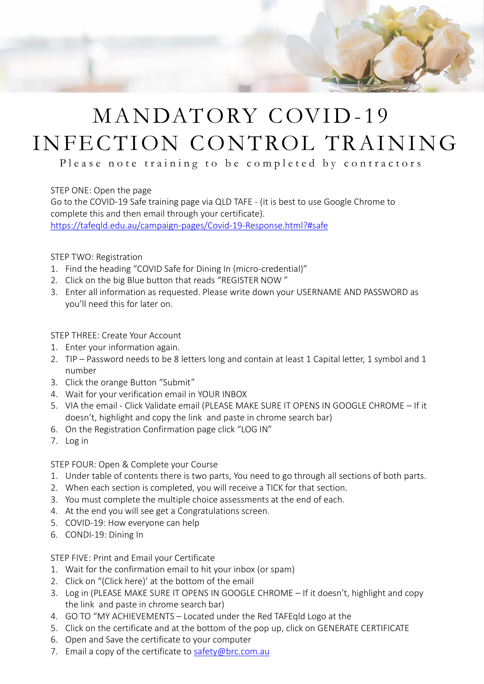

### MANDATORY COVID-19 INFECTION CONTROL TRAINING

Please note training to be completed by contractors

STEP ONE: Open the page

Go to the COVID-19 Safe training page via QLD TAFE - (it is best to use Google Chrome to complete this and then email through your certificate). <https://tafeqld.edu.au/campaign-pages/Covid-19-Response.html?#safe>

STEP TWO: Registration

- 1. Find the heading "COVID Safe for Dining In (micro-credential)"
- 2. Click on the big Blue button that reads "REGISTER NOW "
- 3. Enter all information as requested. Please write down your USERNAME AND PASSWORD as you'll need this for later on.

STEP THREE: Create Your Account

- 1. Enter your information again.
- 2. TIP Password needs to be 8 letters long and contain at least 1 Capital letter, 1 symbol and 1 number
- 3. Click the orange Button "Submit"
- 4. Wait for your verification email in YOUR INBOX
- 5. VIA the email Click Validate email (PLEASE MAKE SURE IT OPENS IN GOOGLE CHROME If it doesn't, highlight and copy the link and paste in chrome search bar)
- 6. On the Registration Confirmation page click "LOG IN"
- 7. Log in

STEP FOUR: Open & Complete your Course

- 1. Under table of contents there is two parts, You need to go through all sections of both parts.
- 2. When each section is completed, you will receive a TICK for that section.
- 3. You must complete the multiple choice assessments at the end of each.
- 4. At the end you will see get a Congratulations screen.
- 5. COVID-19: How everyone can help
- 6. CONDI-19: Dining In

STEP FIVE: Print and Email your Certificate

- 1. Wait for the confirmation email to hit your inbox (or spam)
- 2. Click on "(Click here)' at the bottom of the email
- 3. Log in (PLEASE MAKE SURE IT OPENS IN GOOGLE CHROME If it doesn't, highlight and copy the link and paste in chrome search bar)
- 4. GO TO "MY ACHIEVEMENTS Located under the Red TAFEqld Logo at the
- 5. Click on the certificate and at the bottom of the pop up, click on GENERATE CERTIFICATE
- 6. Open and Save the certificate to your computer
- 7. Email a copy of the certificate to [safety@brc.com.au](mailto:safety@brc.com.au)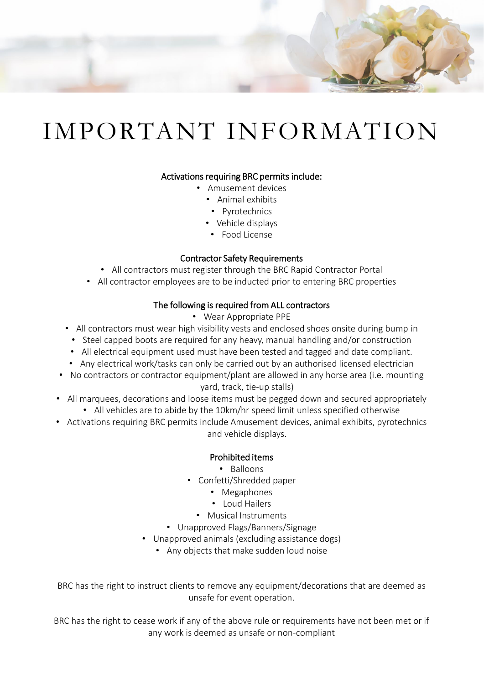

# IMPORTANT INFORMATION

#### Activations requiring BRC permits include:

- Amusement devices
	- Animal exhibits
	- Pyrotechnics
	- Vehicle displays
	- Food License

#### Contractor Safety Requirements

- All contractors must register through the BRC Rapid Contractor Portal
- All contractor employees are to be inducted prior to entering BRC properties

#### The following is required from ALL contractors

- Wear Appropriate PPE
- All contractors must wear high visibility vests and enclosed shoes onsite during bump in
	- Steel capped boots are required for any heavy, manual handling and/or construction
	- All electrical equipment used must have been tested and tagged and date compliant.
	- Any electrical work/tasks can only be carried out by an authorised licensed electrician
- No contractors or contractor equipment/plant are allowed in any horse area (i.e. mounting yard, track, tie-up stalls)
- All marquees, decorations and loose items must be pegged down and secured appropriately • All vehicles are to abide by the 10km/hr speed limit unless specified otherwise
- Activations requiring BRC permits include Amusement devices, animal exhibits, pyrotechnics and vehicle displays.

#### Prohibited items

• Balloons

- Confetti/Shredded paper
	- Megaphones
	- Loud Hailers
	- Musical Instruments
- Unapproved Flags/Banners/Signage
- Unapproved animals (excluding assistance dogs)
	- Any objects that make sudden loud noise

BRC has the right to instruct clients to remove any equipment/decorations that are deemed as unsafe for event operation.

BRC has the right to cease work if any of the above rule or requirements have not been met or if any work is deemed as unsafe or non-compliant